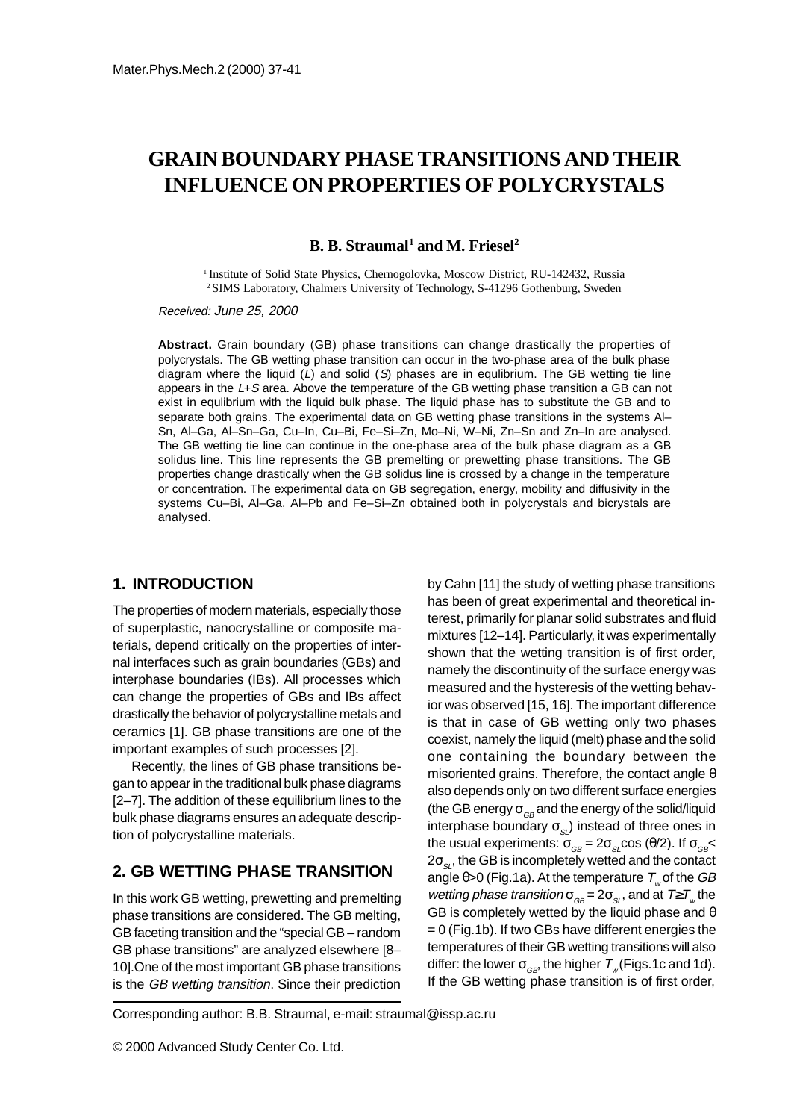# **GRAIN BOUNDARY PHASE TRANSITIONS AND THEIR INFLUENCE ON PROPERTIES OF POLYCRYSTALS**

**B. B. Straumal<sup>1</sup> and M. Friesel<sup>2</sup>** 

<sup>1</sup> Institute of Solid State Physics, Chernogolovka, Moscow District, RU-142432, Russia 2 SIMS Laboratory, Chalmers University of Technology, S-41296 Gothenburg, Sweden

Received: June 25, 2000

**Abstract.** Grain boundary (GB) phase transitions can change drastically the properties of polycrystals. The GB wetting phase transition can occur in the two-phase area of the bulk phase diagram where the liquid  $(L)$  and solid  $(S)$  phases are in equlibrium. The GB wetting tie line appears in the  $L+S$  area. Above the temperature of the GB wetting phase transition a GB can not exist in equlibrium with the liquid bulk phase. The liquid phase has to substitute the GB and to separate both grains. The experimental data on GB wetting phase transitions in the systems Al-Sn, Al–Ga, Al–Sn–Ga, Cu–In, Cu–Bi, Fe–Si–Zn, Mo–Ni, W–Ni, Zn–Sn and Zn–In are analysed. The GB wetting tie line can continue in the one-phase area of the bulk phase diagram as a GB solidus line. This line represents the GB premelting or prewetting phase transitions. The GB properties change drastically when the GB solidus line is crossed by a change in the temperature or concentration. The experimental data on GB segregation, energy, mobility and diffusivity in the systems Cu–Bi, Al–Ga, Al–Pb and Fe–Si–Zn obtained both in polycrystals and bicrystals are analysed.

#### **1. INTRODUCTION**

The properties of modern materials, especially those of superplastic, nanocrystalline or composite materials, depend critically on the properties of internal interfaces such as grain boundaries (GBs) and interphase boundaries (IBs). All processes which can change the properties of GBs and IBs affect drastically the behavior of polycrystalline metals and ceramics [1]. GB phase transitions are one of the important examples of such processes [2].

Recently, the lines of GB phase transitions began to appear in the traditional bulk phase diagrams [2–7]. The addition of these equilibrium lines to the bulk phase diagrams ensures an adequate description of polycrystalline materials.

## **2. GB WETTING PHASE TRANSITION**

In this work GB wetting, prewetting and premelting phase transitions are considered. The GB melting, GB faceting transition and the "special GB – random GB phase transitions" are analyzed elsewhere [8– 10].One of the most important GB phase transitions is the GB wetting transition. Since their prediction by Cahn [11] the study of wetting phase transitions has been of great experimental and theoretical interest, primarily for planar solid substrates and fluid mixtures [12–14]. Particularly, it was experimentally shown that the wetting transition is of first order, namely the discontinuity of the surface energy was measured and the hysteresis of the wetting behavior was observed [15, 16]. The important difference is that in case of GB wetting only two phases coexist, namely the liquid (melt) phase and the solid one containing the boundary between the misoriented grains. Therefore, the contact angle θ also depends only on two different surface energies (the GB energy  $\sigma_{GB}$  and the energy of the solid/liquid interphase boundary  $\sigma_{\rm s}$ ) instead of three ones in the usual experiments:  $\sigma_{GB} = 2\sigma_{SL} \cos(\theta/2)$ . If  $\sigma_{GB} <$  $2\sigma_{\scriptscriptstyle SL}$ , the GB is incompletely wetted and the contact angle  $\theta$ >0 (Fig.1a). At the temperature  $T_{\psi}$  of the GB wetting phase transition  $\sigma_{GB} = 2\sigma_{SL}$ , and at  $T \ge T_w$  the GB is completely wetted by the liquid phase and  $\theta$ = 0 (Fig.1b). If two GBs have different energies the temperatures of their GB wetting transitions will also differ: the lower  $\sigma_{GB}$ , the higher  $T_{w}$  (Figs.1c and 1d). If the GB wetting phase transition is of first order,

Corresponding author: B.B. Straumal, e-mail: straumal@issp.ac.ru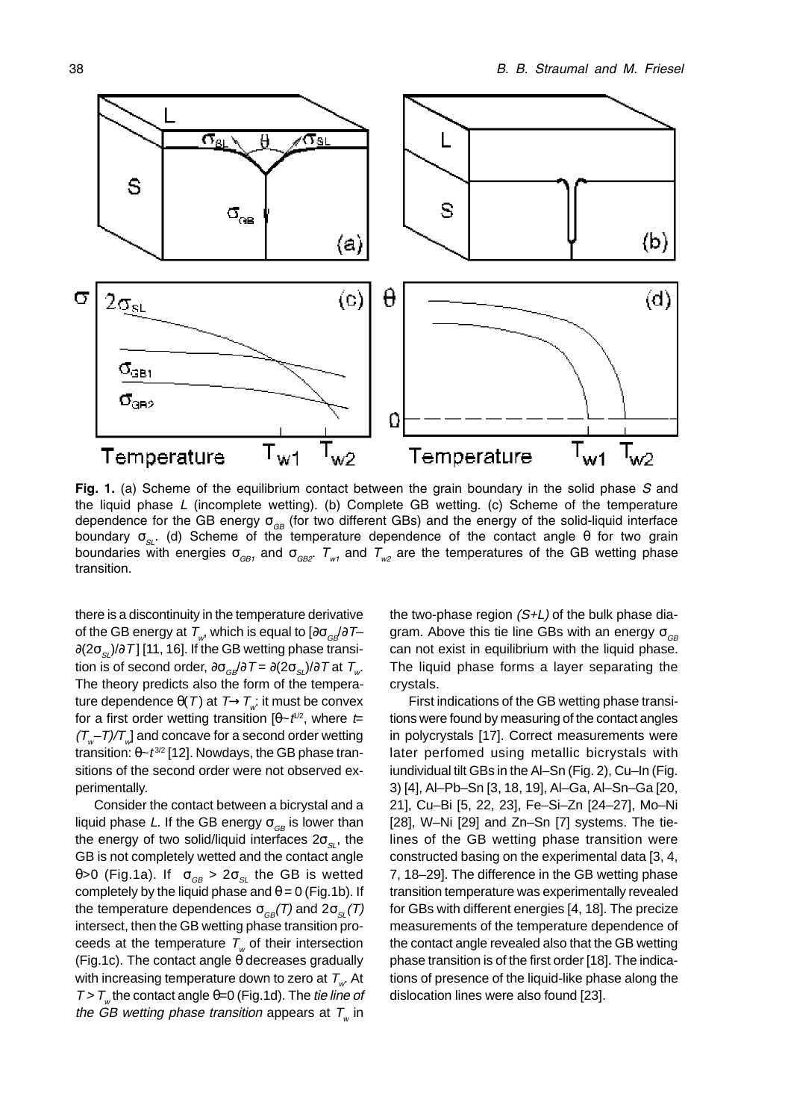

Fig. 1. (a) Scheme of the equilibrium contact between the grain boundary in the solid phase S and the liquid phase L (incomplete wetting). (b) Complete GB wetting. (c) Scheme of the temperature dependence for the GB energy  $\sigma_{GB}$  (for two different GBs) and the energy of the solid-liquid interface boundary  $\sigma_{SL}$ . (d) Scheme of the temperature dependence of the contact angle  $\theta$  for two grain boundaries with energies  $\sigma_{GB1}$  and  $\sigma_{GB2}$ .  $T_{w1}$  and  $T_{w2}$  are the temperatures of the GB wetting phase transition.

there is a discontinuity in the temperature derivative of the GB energy at  $T_{\mu}$ , which is equal to  $[\partial \sigma_{\alpha} / \partial T \partial (2\sigma_{\rm sl})/\partial T$ ] [11, 16]. If the GB wetting phase transition is of second order,  $\partial \sigma_{\alpha\beta}/\partial T = \partial (2\sigma_{\alpha\beta})/\partial T$  at  $T_{\alpha\beta}$ . The theory predicts also the form of the temperature dependence  $\theta(T)$  at  $T\rightarrow T_{\omega}$ : it must be convex for a first order wetting transition  $[\theta \sim t^{\frac{1}{2}}]$ , where  $t =$  $(T_{w}-T)/T_{w}$ ] and concave for a second order wetting transition:  $θ$ ~ $t^{3/2}$  [12]. Nowdays, the GB phase transitions of the second order were not observed experimentally.

Consider the contact between a bicrystal and a liquid phase L. If the GB energy  $\sigma_{GB}$  is lower than the energy of two solid/liquid interfaces  $2\sigma_{\rm s}$ , the GB is not completely wetted and the contact angle θ>0 (Fig.1a). If  $\sigma_{GB} > 2\sigma_{SI}$  the GB is wetted completely by the liquid phase and  $\theta = 0$  (Fig.1b). If the temperature dependences  $\sigma_{ce}(T)$  and  $2\sigma_{eq}(T)$ intersect, then the GB wetting phase transition proceeds at the temperature  $T_{w}$  of their intersection (Fig.1c). The contact angle θ decreases gradually with increasing temperature down to zero at  $T_{w}$ . At  $T > T$ <sub>w</sub> the contact angle θ=0 (Fig.1d). The tie line of the GB wetting phase transition appears at  $T_{w}$  in

the two-phase region  $(S+L)$  of the bulk phase diagram. Above this tie line GBs with an energy  $\sigma_{GB}$ can not exist in equilibrium with the liquid phase. The liquid phase forms a layer separating the crystals.

First indications of the GB wetting phase transitions were found by measuring of the contact angles in polycrystals [17]. Correct measurements were later perfomed using metallic bicrystals with iundividual tilt GBs in the Al–Sn (Fig. 2), Cu–In (Fig. 3) [4], Al–Pb–Sn [3, 18, 19], Al–Ga, Al–Sn–Ga [20, 21], Cu–Bi [5, 22, 23], Fe–Si–Zn [24–27], Mo–Ni [28], W–Ni [29] and Zn–Sn [7] systems. The tielines of the GB wetting phase transition were constructed basing on the experimental data [3, 4, 7, 18–29]. The difference in the GB wetting phase transition temperature was experimentally revealed for GBs with different energies [4, 18]. The precize measurements of the temperature dependence of the contact angle revealed also that the GB wetting phase transition is of the first order [18]. The indications of presence of the liquid-like phase along the dislocation lines were also found [23].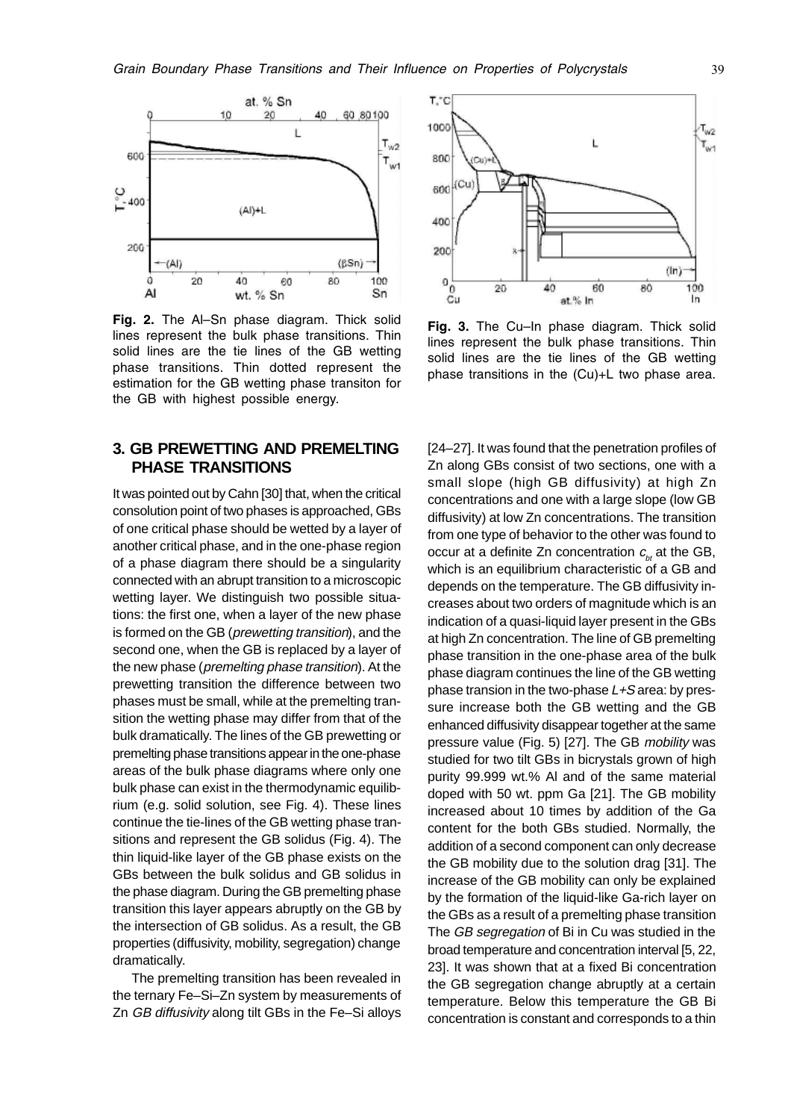

Fig. 2. The Al-Sn phase diagram. Thick solid lines represent the bulk phase transitions. Thin solid lines are the tie lines of the GB wetting phase transitions. Thin dotted represent the estimation for the GB wetting phase transiton for the GB with highest possible energy.

### **3. GB PREWETTING AND PREMELTING PHASE TRANSITIONS**

It was pointed out by Cahn [30] that, when the critical consolution point of two phases is approached, GBs of one critical phase should be wetted by a layer of another critical phase, and in the one-phase region of a phase diagram there should be a singularity connected with an abrupt transition to a microscopic wetting layer. We distinguish two possible situations: the first one, when a layer of the new phase is formed on the GB (prewetting transition), and the second one, when the GB is replaced by a layer of the new phase (premelting phase transition). At the prewetting transition the difference between two phases must be small, while at the premelting transition the wetting phase may differ from that of the bulk dramatically. The lines of the GB prewetting or premelting phase transitions appear in the one-phase areas of the bulk phase diagrams where only one bulk phase can exist in the thermodynamic equilibrium (e.g. solid solution, see Fig. 4). These lines continue the tie-lines of the GB wetting phase transitions and represent the GB solidus (Fig. 4). The thin liquid-like layer of the GB phase exists on the GBs between the bulk solidus and GB solidus in the phase diagram. During the GB premelting phase transition this layer appears abruptly on the GB by the intersection of GB solidus. As a result, the GB properties (diffusivity, mobility, segregation) change dramatically.

The premelting transition has been revealed in the ternary Fe–Si–Zn system by measurements of Zn GB diffusivity along tilt GBs in the Fe–Si alloys



Fig. 3. The Cu-In phase diagram. Thick solid lines represent the bulk phase transitions. Thin solid lines are the tie lines of the GB wetting phase transitions in the (Cu)+L two phase area.

[24–27]. It was found that the penetration profiles of Zn along GBs consist of two sections, one with a small slope (high GB diffusivity) at high Zn concentrations and one with a large slope (low GB diffusivity) at low Zn concentrations. The transition from one type of behavior to the other was found to occur at a definite Zn concentration  $c_{\mu}$  at the GB, which is an equilibrium characteristic of a GB and depends on the temperature. The GB diffusivity increases about two orders of magnitude which is an indication of a quasi-liquid layer present in the GBs at high Zn concentration. The line of GB premelting phase transition in the one-phase area of the bulk phase diagram continues the line of the GB wetting phase transion in the two-phase  $L+S$  area: by pressure increase both the GB wetting and the GB enhanced diffusivity disappear together at the same pressure value (Fig. 5) [27]. The GB mobility was studied for two tilt GBs in bicrystals grown of high purity 99.999 wt.% Al and of the same material doped with 50 wt. ppm Ga [21]. The GB mobility increased about 10 times by addition of the Ga content for the both GBs studied. Normally, the addition of a second component can only decrease the GB mobility due to the solution drag [31]. The increase of the GB mobility can only be explained by the formation of the liquid-like Ga-rich layer on the GBs as a result of a premelting phase transition The GB segregation of Bi in Cu was studied in the broad temperature and concentration interval [5, 22, 23]. It was shown that at a fixed Bi concentration the GB segregation change abruptly at a certain temperature. Below this temperature the GB Bi concentration is constant and corresponds to a thin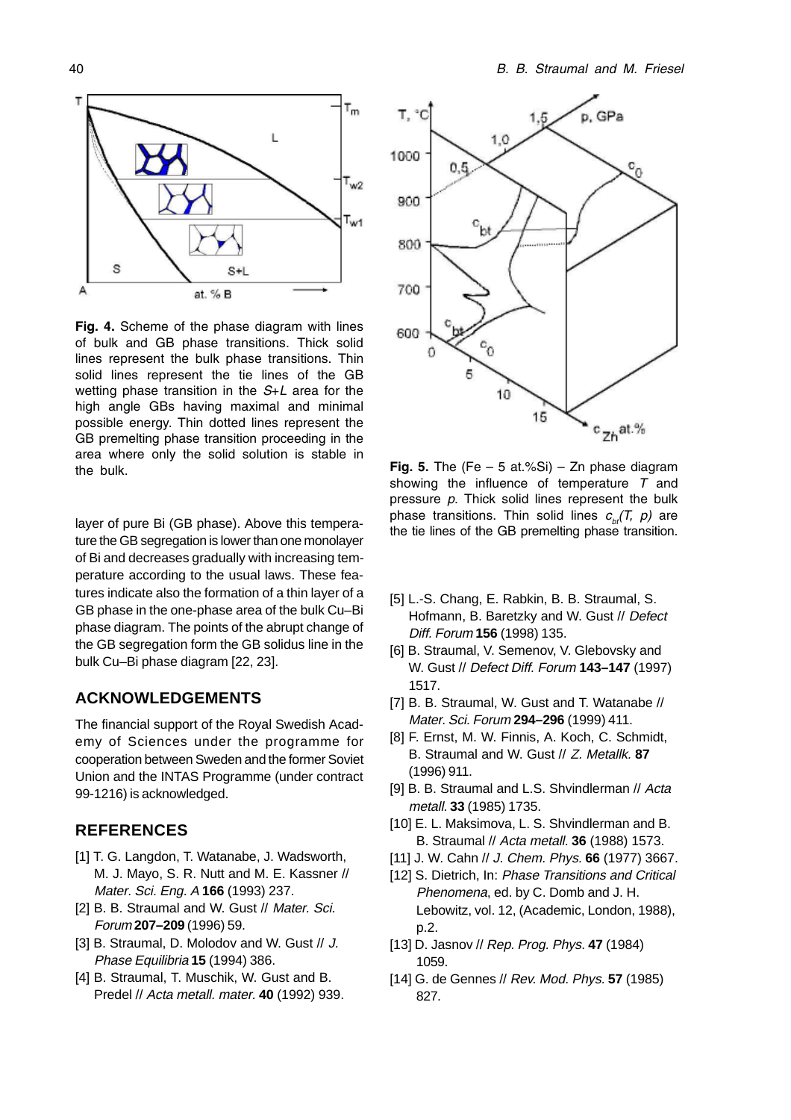

Fig. 4. Scheme of the phase diagram with lines of bulk and GB phase transitions. Thick solid lines represent the bulk phase transitions. Thin solid lines represent the tie lines of the GB wetting phase transition in the S+L area for the high angle GBs having maximal and minimal possible energy. Thin dotted lines represent the GB premelting phase transition proceeding in the area where only the solid solution is stable in the bulk.  $\overline{F}$   $\overline{F}$   $\overline{F}$   $\overline{F}$   $\overline{F}$   $\overline{F}$   $\overline{F}$   $\overline{F}$   $\overline{F}$   $\overline{F}$   $\overline{F}$   $\overline{F}$   $\overline{F}$   $\overline{F}$   $\overline{F}$   $\overline{F}$   $\overline{F}$   $\overline{F}$   $\overline{F}$   $\overline{F}$   $\overline{F}$   $\overline{F}$   $\overline{F}$   $\overline$ 

layer of pure Bi (GB phase). Above this temperature the GB segregation is lower than one monolayer of Bi and decreases gradually with increasing temperature according to the usual laws. These features indicate also the formation of a thin layer of a GB phase in the one-phase area of the bulk Cu–Bi phase diagram. The points of the abrupt change of the GB segregation form the GB solidus line in the bulk Cu–Bi phase diagram [22, 23].

### **ACKNOWLEDGEMENTS**

The financial support of the Royal Swedish Academy of Sciences under the programme for cooperation between Sweden and the former Soviet Union and the INTAS Programme (under contract 99-1216) is acknowledged.

#### **REFERENCES**

- [1] T. G. Langdon, T. Watanabe, J. Wadsworth, M. J. Mayo, S. R. Nutt and M. E. Kassner // Mater. Sci. Eng. A **166** (1993) 237.
- [2] B. B. Straumal and W. Gust // Mater. Sci. Forum **207–209** (1996) 59.
- [3] B. Straumal, D. Molodov and W. Gust // J. Phase Equilibria **15** (1994) 386.
- [4] B. Straumal, T. Muschik, W. Gust and B. Predel // Acta metall. mater. **40** (1992) 939.



showing the influence of temperature  $T$  and pressure  $p$ . Thick solid lines represent the bulk phase transitions. Thin solid lines  $c_{bt}$ (T, p) are the tie lines of the GB premelting phase transition.

- [5] L.-S. Chang, E. Rabkin, B. B. Straumal, S. Hofmann, B. Baretzky and W. Gust // Defect Diff. Forum **156** (1998) 135.
- [6] B. Straumal, V. Semenov, V. Glebovsky and W. Gust // Defect Diff. Forum **143–147** (1997) 1517.
- [7] B. B. Straumal, W. Gust and T. Watanabe // Mater. Sci. Forum **294–296** (1999) 411.
- [8] F. Ernst, M. W. Finnis, A. Koch, C. Schmidt, B. Straumal and W. Gust // Z. Metallk. **87** (1996) 911.
- [9] B. B. Straumal and L.S. Shvindlerman // Acta metall. **33** (1985) 1735.
- [10] E. L. Maksimova, L. S. Shvindlerman and B. B. Straumal // Acta metall. **36** (1988) 1573.
- [11] J. W. Cahn // J. Chem. Phys. **66** (1977) 3667.
- [12] S. Dietrich, In: Phase Transitions and Critical Phenomena, ed. by C. Domb and J. H. Lebowitz, vol. 12, (Academic, London, 1988), p.2.
- [13] D. Jasnov // Rep. Prog. Phys. **47** (1984) 1059.
- [14] G. de Gennes // Rev. Mod. Phys. **57** (1985) 827.